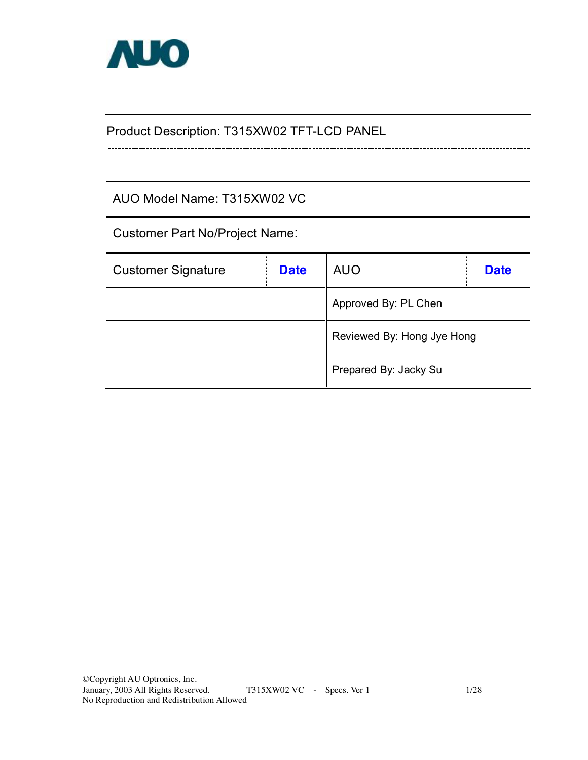

Product Description: T315XW02 TFT-LCD PANEL

AUO Model Name: T315XW02 VC

Customer Part No/Project Name:

| <b>Customer Signature</b> | <b>Date</b> | <b>AUO</b>                 | <b>Date</b> |  |  |  |  |  |  |
|---------------------------|-------------|----------------------------|-------------|--|--|--|--|--|--|
|                           |             | Approved By: PL Chen       |             |  |  |  |  |  |  |
|                           |             | Reviewed By: Hong Jye Hong |             |  |  |  |  |  |  |
|                           |             | Prepared By: Jacky Su      |             |  |  |  |  |  |  |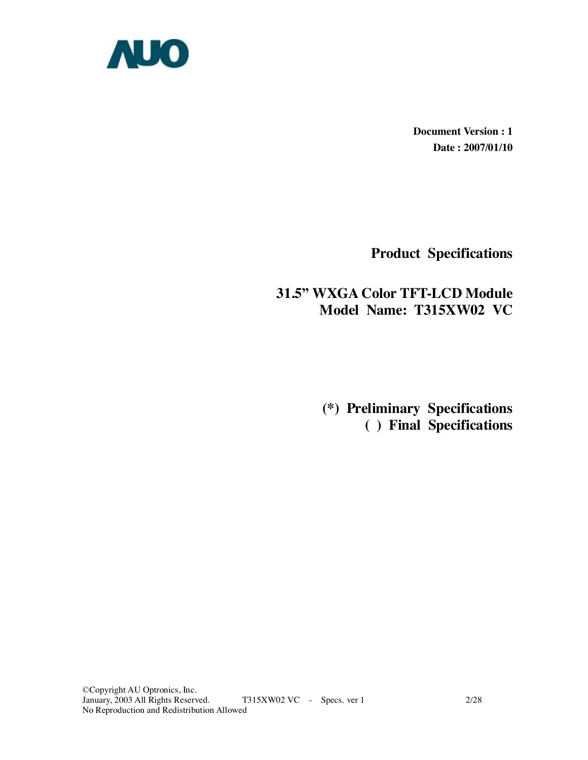

**Document Version : 1 Date : 2007/01/10** 

**Product Specifications** 

# **31.5" WXGA Color TFT-LCD Module Model Name: T315XW02 VC**

 **(\*) Preliminary Specifications ( ) Final Specifications**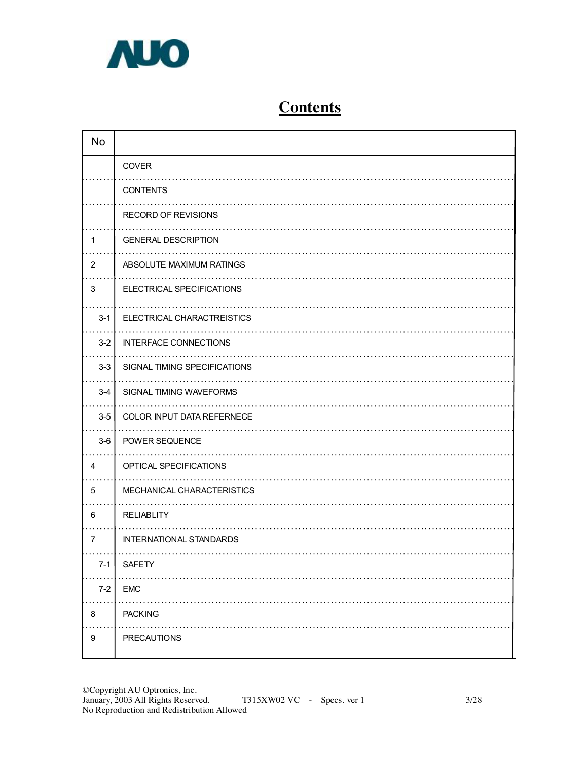

# **Contents**

| <b>No</b>      |                                |
|----------------|--------------------------------|
|                | COVER                          |
|                | <b>CONTENTS</b>                |
|                | <b>RECORD OF REVISIONS</b>     |
| $\mathbf{1}$   | <b>GENERAL DESCRIPTION</b>     |
| $\overline{2}$ | ABSOLUTE MAXIMUM RATINGS       |
| 3              | ELECTRICAL SPECIFICATIONS      |
| $3 - 1$        | ELECTRICAL CHARACTREISTICS     |
| $3 - 2$        | <b>INTERFACE CONNECTIONS</b>   |
| $3-3$          | SIGNAL TIMING SPECIFICATIONS   |
| $3 - 4$        | SIGNAL TIMING WAVEFORMS        |
| $3-5$          | COLOR INPUT DATA REFERNECE     |
| $3-6$          | POWER SEQUENCE                 |
| 4              | OPTICAL SPECIFICATIONS         |
| 5              | MECHANICAL CHARACTERISTICS     |
| 6              | <b>RELIABLITY</b>              |
| $\overline{7}$ | <b>INTERNATIONAL STANDARDS</b> |
| $( -1)$        | <b>SAFETY</b>                  |
| $7 - 2$        | <b>EMC</b>                     |
| 8              | <b>PACKING</b>                 |
| 9              | PRECAUTIONS                    |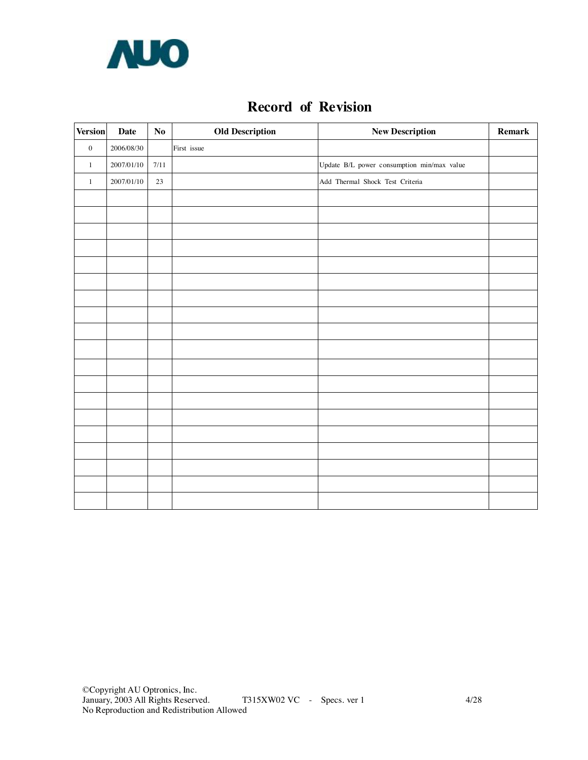

### **Record of Revision**

| <b>Version</b>   | Date       | No     | <b>Old Description</b> | <b>New Description</b>                     | Remark |
|------------------|------------|--------|------------------------|--------------------------------------------|--------|
| $\boldsymbol{0}$ | 2006/08/30 |        | First issue            |                                            |        |
| $\mathbf{1}$     | 2007/01/10 | 7/11   |                        | Update B/L power consumption min/max value |        |
| $\mathbf{1}$     | 2007/01/10 | $23\,$ |                        | Add Thermal Shock Test Criteria            |        |
|                  |            |        |                        |                                            |        |
|                  |            |        |                        |                                            |        |
|                  |            |        |                        |                                            |        |
|                  |            |        |                        |                                            |        |
|                  |            |        |                        |                                            |        |
|                  |            |        |                        |                                            |        |
|                  |            |        |                        |                                            |        |
|                  |            |        |                        |                                            |        |
|                  |            |        |                        |                                            |        |
|                  |            |        |                        |                                            |        |
|                  |            |        |                        |                                            |        |
|                  |            |        |                        |                                            |        |
|                  |            |        |                        |                                            |        |
|                  |            |        |                        |                                            |        |
|                  |            |        |                        |                                            |        |
|                  |            |        |                        |                                            |        |
|                  |            |        |                        |                                            |        |
|                  |            |        |                        |                                            |        |
|                  |            |        |                        |                                            |        |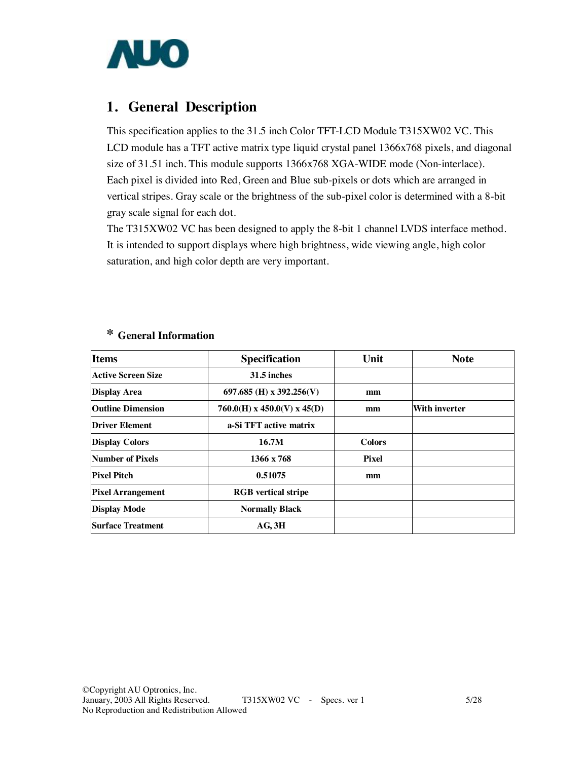

### **1. General Description**

This specification applies to the 31.5 inch Color TFT-LCD Module T315XW02 VC. This LCD module has a TFT active matrix type liquid crystal panel 1366x768 pixels, and diagonal size of 31.51 inch. This module supports 1366x768 XGA-WIDE mode (Non-interlace). Each pixel is divided into Red, Green and Blue sub-pixels or dots which are arranged in vertical stripes. Gray scale or the brightness of the sub-pixel color is determined with a 8-bit gray scale signal for each dot.

The T315XW02 VC has been designed to apply the 8-bit 1 channel LVDS interface method. It is intended to support displays where high brightness, wide viewing angle, high color saturation, and high color depth are very important.

| Items                     | <b>Specification</b>        | Unit          | <b>Note</b>   |
|---------------------------|-----------------------------|---------------|---------------|
| <b>Active Screen Size</b> | 31.5 inches                 |               |               |
| <b>Display Area</b>       | 697.685 (H) x 392.256(V)    | mm            |               |
| <b>Outline Dimension</b>  | 760.0(H) x 450.0(V) x 45(D) | mm            | With inverter |
| <b>Driver Element</b>     | a-Si TFT active matrix      |               |               |
| <b>Display Colors</b>     | 16.7M                       | <b>Colors</b> |               |
| <b>Number of Pixels</b>   | 1366 x 768                  | <b>Pixel</b>  |               |
| <b>Pixel Pitch</b>        | 0.51075                     | mm            |               |
| <b>Pixel Arrangement</b>  | <b>RGB</b> vertical stripe  |               |               |
| <b>Display Mode</b>       | <b>Normally Black</b>       |               |               |
| <b>Surface Treatment</b>  | $AG$ , $3H$                 |               |               |

### **\* General Information**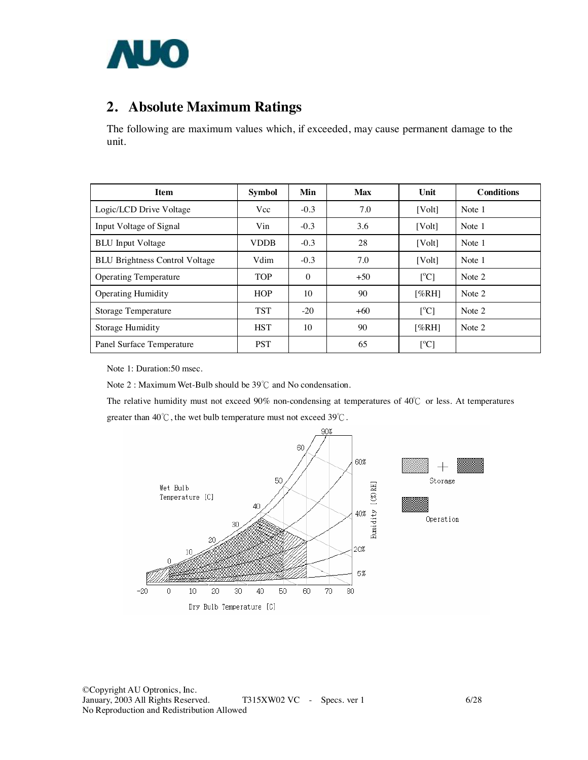

# **2. Absolute Maximum Ratings**

The following are maximum values which, if exceeded, may cause permanent damage to the unit.

| <b>Item</b>                           | <b>Symbol</b> | Min      | <b>Max</b> | Unit                      | <b>Conditions</b> |
|---------------------------------------|---------------|----------|------------|---------------------------|-------------------|
| Logic/LCD Drive Voltage               | Vcc           | $-0.3$   | 7.0        | [Vol <sub>t</sub> ]       | Note 1            |
| Input Voltage of Signal               | Vin           | $-0.3$   | 3.6        | [Volt]                    | Note 1            |
| <b>BLU</b> Input Voltage              | <b>VDDB</b>   | $-0.3$   | 28         | [Vol <sub>t</sub> ]       | Note 1            |
| <b>BLU Brightness Control Voltage</b> | Vdim          | $-0.3$   | 7.0        | [Volt]                    | Note 1            |
| <b>Operating Temperature</b>          | <b>TOP</b>    | $\theta$ | $+50$      | $\lceil{^{\circ}C}\rceil$ | Note 2            |
| <b>Operating Humidity</b>             | <b>HOP</b>    | 10       | 90         | [%RH]                     | Note 2            |
| Storage Temperature                   | <b>TST</b>    | $-20$    | $+60$      | $\lceil{^{\circ}C}\rceil$ | Note 2            |
| Storage Humidity                      | <b>HST</b>    | 10       | 90         | [%RH]                     | Note 2            |
| Panel Surface Temperature             | <b>PST</b>    |          | 65         | [°C]                      |                   |

Note 1: Duration:50 msec.

Note 2 : Maximum Wet-Bulb should be 39℃ and No condensation.

The relative humidity must not exceed 90% non-condensing at temperatures of 40℃ or less. At temperatures greater than  $40^{\circ}$ C, the wet bulb temperature must not exceed  $39^{\circ}$ C.

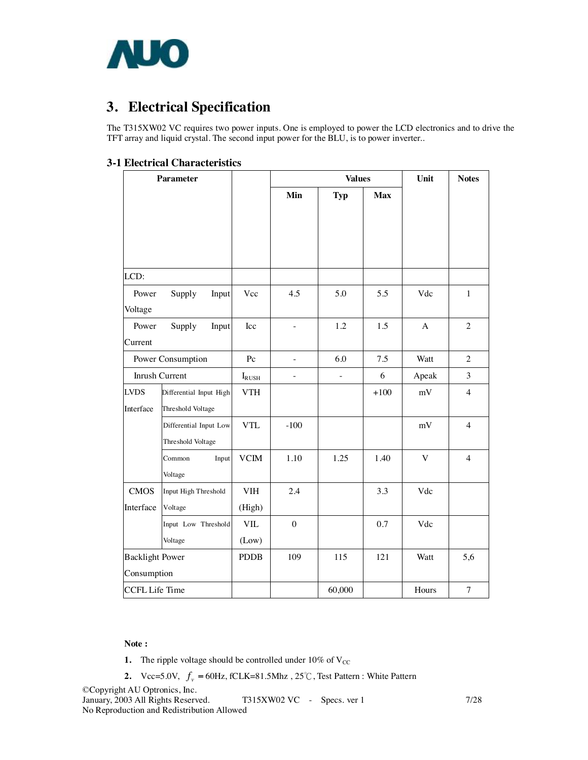

# **3. Electrical Specification**

The T315XW02 VC requires two power inputs. One is employed to power the LCD electronics and to drive the TFT array and liquid crystal. The second input power for the BLU, is to power inverter..

#### **3-1 Electrical Characteristics**

|                                        | <b>Parameter</b>       |             |                  | <b>Values</b>  | Unit       | <b>Notes</b> |                |
|----------------------------------------|------------------------|-------------|------------------|----------------|------------|--------------|----------------|
|                                        |                        |             | Min              | <b>Typ</b>     | <b>Max</b> |              |                |
|                                        |                        |             |                  |                |            |              |                |
|                                        |                        |             |                  |                |            |              |                |
|                                        |                        |             |                  |                |            |              |                |
| LCD:                                   |                        |             |                  |                |            |              |                |
| Power                                  | Supply<br>Input        | Vcc         | 4.5              | 5.0            | 5.5        | Vdc          | $\mathbf{1}$   |
| Voltage                                |                        |             |                  |                |            |              |                |
| Power                                  | Supply<br>Input        | Icc         | $\blacksquare$   | 1.2            | 1.5        | $\mathbf{A}$ | $\overline{2}$ |
| Current                                |                        |             |                  |                |            |              |                |
|                                        | Power Consumption      | Pc          | ÷,               | 6.0            | 7.5        | Watt         | $\overline{2}$ |
| Inrush Current                         |                        | $I_{RUSH}$  | $\blacksquare$   | $\blacksquare$ | 6          | Apeak        | 3              |
| <b>LVDS</b><br>Differential Input High |                        | <b>VTH</b>  |                  |                | $+100$     | mV           | $\overline{4}$ |
| Interface                              | Threshold Voltage      |             |                  |                |            |              |                |
|                                        | Differential Input Low | <b>VTL</b>  | $-100$           |                |            | mV           | $\overline{4}$ |
|                                        | Threshold Voltage      |             |                  |                |            |              |                |
|                                        | Common<br>Input        | <b>VCIM</b> | 1.10             | 1.25           | 1.40       | V            | $\overline{4}$ |
|                                        | Voltage                |             |                  |                |            |              |                |
| <b>CMOS</b>                            | Input High Threshold   | <b>VIH</b>  | 2.4              |                | 3.3        | Vdc          |                |
| Interface                              | Voltage                | (High)      |                  |                |            |              |                |
|                                        | Input Low Threshold    | VIL         | $\boldsymbol{0}$ |                | 0.7        | Vdc          |                |
|                                        | Voltage                | (Low)       |                  |                |            |              |                |
| <b>Backlight Power</b>                 |                        | <b>PDDB</b> | 109              | 115            | 121        | Watt         | 5,6            |
| Consumption                            |                        |             |                  |                |            |              |                |
| CCFL Life Time                         |                        |             |                  | 60,000         |            | Hours        | 7              |

#### **Note :**

- **1.** The ripple voltage should be controlled under  $10\%$  of V<sub>CC</sub>
- **2.** Vcc=5.0V,  $f_v = 60$ Hz, fCLK=81.5Mhz, 25°C, Test Pattern : White Pattern

©Copyright AU Optronics, Inc. January, 2003 All Rights Reserved. T315XW02 VC - Specs. ver 1 7/28 No Reproduction and Redistribution Allowed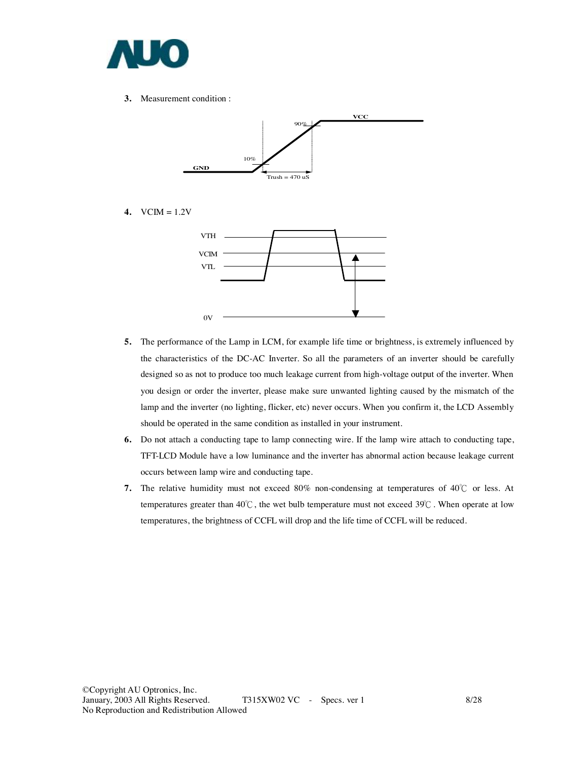

**3.** Measurement condition :



**4.** VCIM = 1.2V



- **5.** The performance of the Lamp in LCM, for example life time or brightness, is extremely influenced by the characteristics of the DC-AC Inverter. So all the parameters of an inverter should be carefully designed so as not to produce too much leakage current from high-voltage output of the inverter. When you design or order the inverter, please make sure unwanted lighting caused by the mismatch of the lamp and the inverter (no lighting, flicker, etc) never occurs. When you confirm it, the LCD Assembly should be operated in the same condition as installed in your instrument.
- **6.** Do not attach a conducting tape to lamp connecting wire. If the lamp wire attach to conducting tape, TFT-LCD Module have a low luminance and the inverter has abnormal action because leakage current occurs between lamp wire and conducting tape.
- **7.** The relative humidity must not exceed 80% non-condensing at temperatures of 40℃ or less. At temperatures greater than  $40^{\circ}$ C, the wet bulb temperature must not exceed  $39^{\circ}$ C. When operate at low temperatures, the brightness of CCFL will drop and the life time of CCFL will be reduced.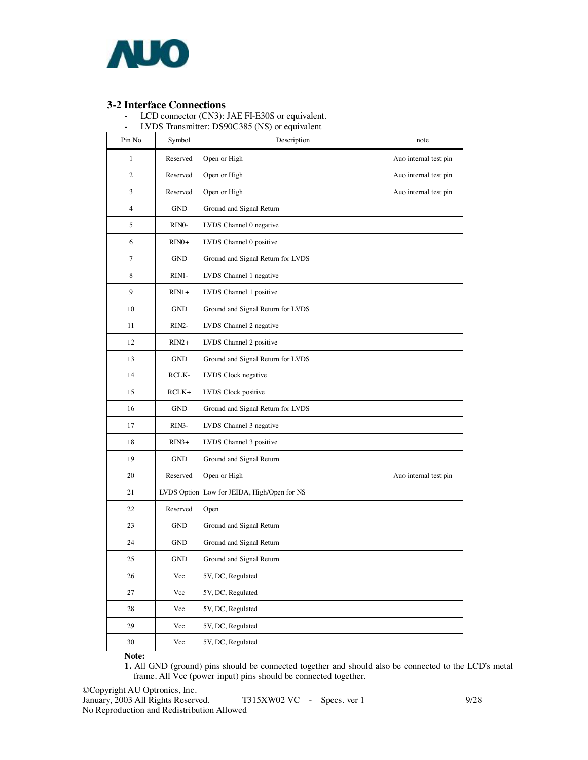

**3-2 Interface Connections -** LCD connector (CN3): JAE FI-E30S or equivalent.

**-** LVDS Transmitter: DS90C385 (NS) or equivalent

| Pin No         | Symbol             | Description                       | note                  |
|----------------|--------------------|-----------------------------------|-----------------------|
| 1              | Reserved           | Open or High                      | Auo internal test pin |
| 2              | Reserved           | Open or High                      | Auo internal test pin |
| 3              | Reserved           | Open or High                      | Auo internal test pin |
| $\overline{4}$ | GND                | Ground and Signal Return          |                       |
| 5              | RINO-              | LVDS Channel 0 negative           |                       |
| 6              | $RIN0+$            | LVDS Channel 0 positive           |                       |
| $\overline{7}$ | <b>GND</b>         | Ground and Signal Return for LVDS |                       |
| 8              | RIN1-              | LVDS Channel 1 negative           |                       |
| 9              | $RIN1+$            | LVDS Channel 1 positive           |                       |
| 10             | <b>GND</b>         | Ground and Signal Return for LVDS |                       |
| 11             | $RIN2-$            | LVDS Channel 2 negative           |                       |
| 12             | $RIN2+$            | LVDS Channel 2 positive           |                       |
| 13             | GND                | Ground and Signal Return for LVDS |                       |
| 14             | RCLK-              | LVDS Clock negative               |                       |
| 15             | $RCLK+$            | LVDS Clock positive               |                       |
| 16             | GND                | Ground and Signal Return for LVDS |                       |
| 17             | RIN <sub>3</sub> - | LVDS Channel 3 negative           |                       |
| 18             | $RIN3+$            | LVDS Channel 3 positive           |                       |
| 19             | <b>GND</b>         | Ground and Signal Return          |                       |
| 20             | Reserved           | Open or High                      | Auo internal test pin |
| 21             | LVDS Option        | Low for JEIDA, High/Open for NS   |                       |
| 22             | Reserved           | Open                              |                       |
| 23             | GND                | Ground and Signal Return          |                       |
| 24             | GND                | Ground and Signal Return          |                       |
| 25             | GND                | Ground and Signal Return          |                       |
| 26             | Vcc                | 5V, DC, Regulated                 |                       |
| 27             | Vcc                | 5V, DC, Regulated                 |                       |
| 28             | Vcc                | 5V, DC, Regulated                 |                       |
| 29             | Vcc                | 5V, DC, Regulated                 |                       |
| 30             | $\rm Vcc$          | 5V, DC, Regulated                 |                       |

**Note:** 

**1.** All GND (ground) pins should be connected together and should also be connected to the LCD's metal frame. All Vcc (power input) pins should be connected together.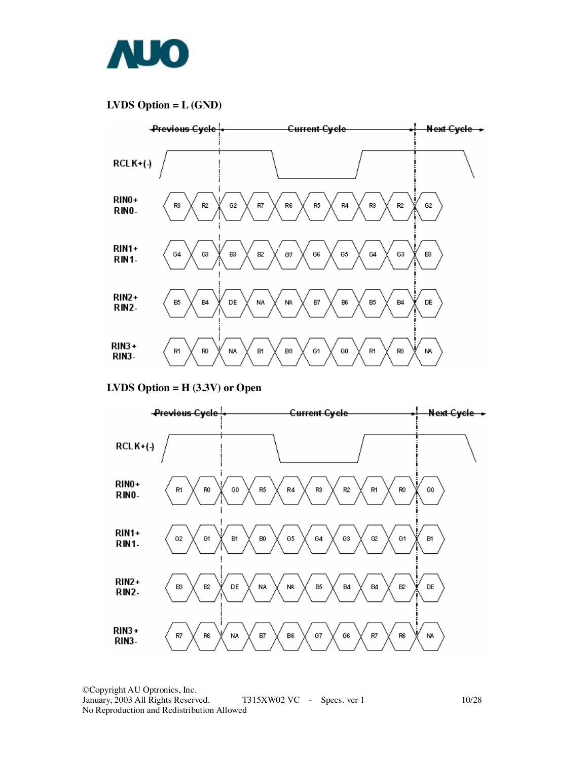

### **LVDS Option = L (GND)**



**LVDS Option = H (3.3V) or Open** 

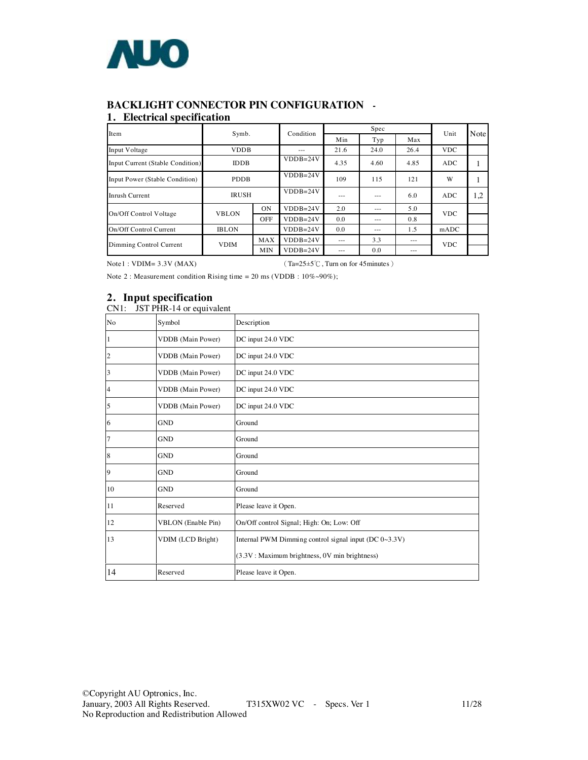

### **BACKLIGHT CONNECTOR PIN CONFIGURATION -**

#### **1. Electrical specification**

| Item                             | Symb.        |            | Condition  |      | Spec    |         | Unit       | Note |
|----------------------------------|--------------|------------|------------|------|---------|---------|------------|------|
|                                  |              |            |            | Min  | Typ     | Max     |            |      |
| Input Voltage                    | <b>VDDB</b>  |            | $- - -$    | 21.6 | 24.0    | 26.4    | <b>VDC</b> |      |
| Input Current (Stable Condition) | <b>IDDB</b>  |            | $VDDB=24V$ | 4.35 | 4.60    | 4.85    | <b>ADC</b> |      |
| Input Power (Stable Condition)   | <b>PDDB</b>  |            | $VDDB=24V$ | 109  | 115     | 121     | W          |      |
| Inrush Current                   | <b>IRUSH</b> |            | $VDDB=24V$ | ---  | $- - -$ | 6.0     | <b>ADC</b> | 1,2  |
| On/Off Control Voltage           | <b>VBLON</b> | ON         | $VDDB=24V$ | 2.0  | ---     | 5.0     | <b>VDC</b> |      |
|                                  |              | <b>OFF</b> | $VDDB=24V$ | 0.0  | ---     | 0.8     |            |      |
| On/Off Control Current           | <b>IBLON</b> |            | $VDDB=24V$ | 0.0  | $- - -$ | 1.5     | mADC       |      |
| Dimming Control Current          | <b>MAX</b>   |            | $VDDB=24V$ | ---  | 3.3     | $- - -$ | <b>VDC</b> |      |
|                                  | <b>VDIM</b>  | <b>MIN</b> | $VDDB=24V$ | ---  | 0.0     | ---     |            |      |

Note1 : VDIM=  $3.3V$  (MAX) (Ta= $25\pm5\degree$ C, Turn on for 45minutes)

Note 2 : Measurement condition Rising time = 20 ms (VDDB : 10%~90%);

### **2. Input specification**

CN1: JST PHR-14 or equivalent

| No | Symbol                    | Description                                           |
|----|---------------------------|-------------------------------------------------------|
|    | <b>VDDB</b> (Main Power)  | DC input 24.0 VDC                                     |
| 2  | VDDB (Main Power)         | DC input 24.0 VDC                                     |
| 3  | <b>VDDB</b> (Main Power)  | DC input 24.0 VDC                                     |
| 4  | <b>VDDB</b> (Main Power)  | DC input 24.0 VDC                                     |
| 5  | <b>VDDB</b> (Main Power)  | DC input 24.0 VDC                                     |
| 6  | <b>GND</b>                | Ground                                                |
|    | <b>GND</b>                | Ground                                                |
| 8  | <b>GND</b>                | Ground                                                |
| 9  | <b>GND</b>                | Ground                                                |
| 10 | <b>GND</b>                | Ground                                                |
| 11 | Reserved                  | Please leave it Open.                                 |
| 12 | <b>VBLON</b> (Enable Pin) | On/Off control Signal; High: On; Low: Off             |
| 13 | VDIM (LCD Bright)         | Internal PWM Dimming control signal input (DC 0~3.3V) |
|    |                           | (3.3V: Maximum brightness, 0V min brightness)         |
| 14 | Reserved                  | Please leave it Open.                                 |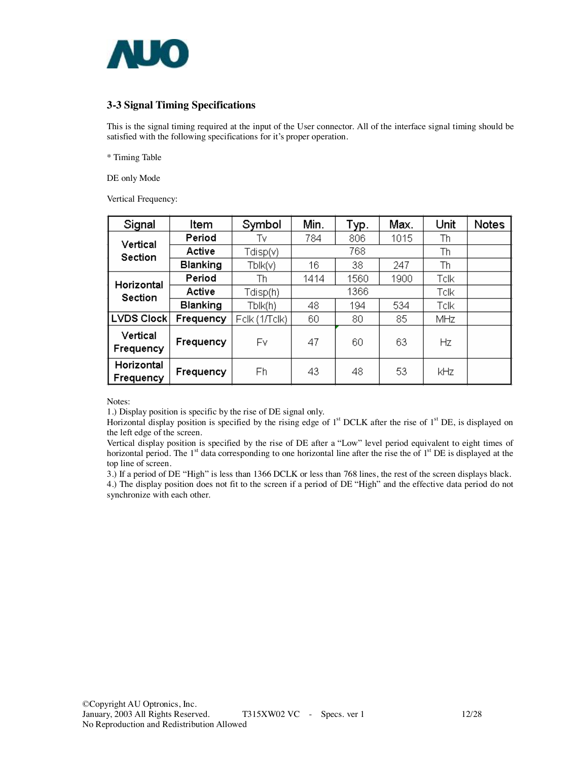

### **3-3 Signal Timing Specifications**

This is the signal timing required at the input of the User connector. All of the interface signal timing should be satisfied with the following specifications for it's proper operation.

\* Timing Table

DE only Mode

Vertical Frequency:

| Signal                  | Item            | Symbol        | Min. | Typ. | Max. | Unit | <b>Notes</b> |
|-------------------------|-----------------|---------------|------|------|------|------|--------------|
| Vertical                | Period          | Tv            | 784  | 806  | 1015 |      |              |
| <b>Section</b>          | Active          | Tdisp(v)      |      | 768  |      | Th   |              |
|                         | <b>Blanking</b> | Tblk(v)       | 16   | 38   | 247  | Th   |              |
| Horizontal<br>Section   | Period          | Th            | 1414 | 1560 | 1900 | Tclk |              |
|                         | Active          | Tdisp(h).     |      | 1366 | Tclk |      |              |
|                         | <b>Blanking</b> | Tblk(h)       | 48   | 194  | 534  | Tclk |              |
| LVDS Clock              | Frequency       | Fclk (1/Tclk) | 60   | 80   | 85   |      |              |
| Vertical<br>Frequency   | Frequency       |               | 47   | 60   | 63   | Hz   |              |
| Horizontal<br>Frequency | Frequency       |               | 43   | 48   | 53   | kHz  |              |

Notes:

1.) Display position is specific by the rise of DE signal only.

Horizontal display position is specified by the rising edge of 1<sup>st</sup> DCLK after the rise of 1<sup>st</sup> DE, is displayed on the left edge of the screen.

Vertical display position is specified by the rise of DE after a "Low" level period equivalent to eight times of horizontal period. The  $1<sup>st</sup>$  data corresponding to one horizontal line after the rise the of  $1<sup>st</sup>$  DE is displayed at the top line of screen.

3.) If a period of DE "High" is less than 1366 DCLK or less than 768 lines, the rest of the screen displays black.

4.) The display position does not fit to the screen if a period of DE "High" and the effective data period do not synchronize with each other.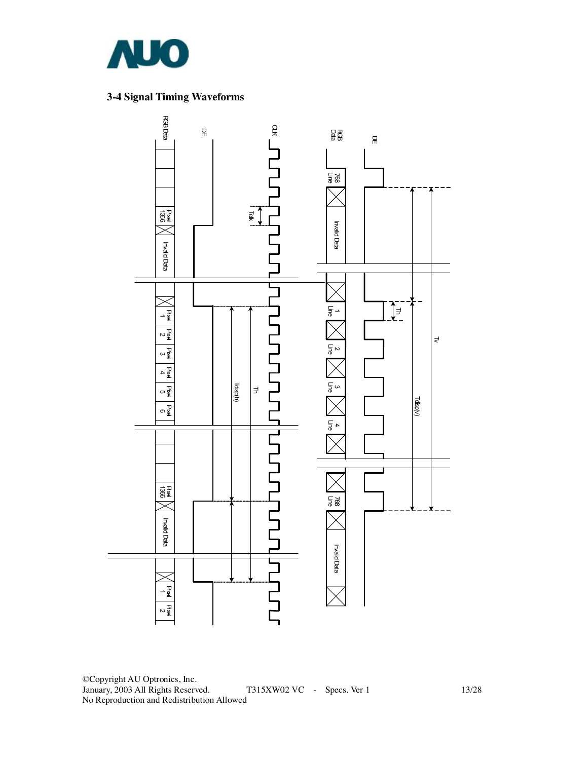

### **3-4 Signal Timing Waveforms**



©Copyright AU Optronics, Inc. January, 2003 All Rights Reserved. T315XW02 VC - Specs. Ver 1 13/28 No Reproduction and Redistribution Allowed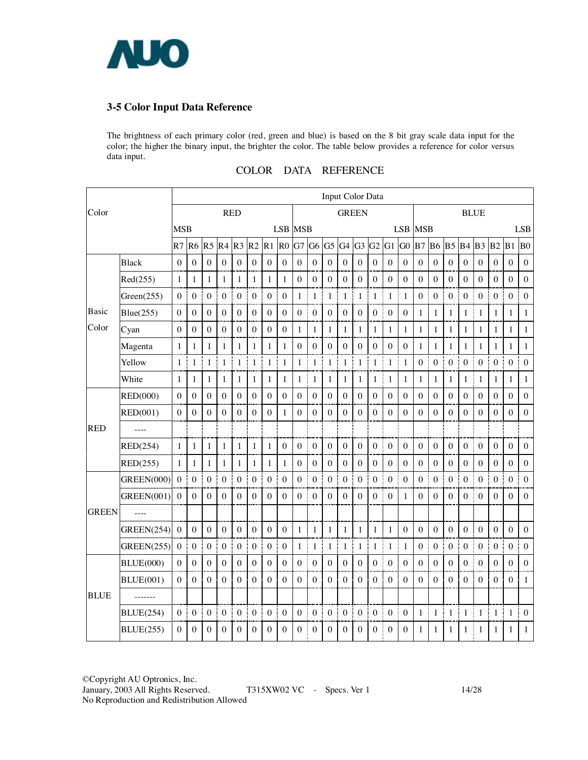

### **3-5 Color Input Data Reference**

The brightness of each primary color (red, green and blue) is based on the 8 bit gray scale data input for the color; the higher the binary input, the brighter the color. The table below provides a reference for color versus data input.

|              |                   | <b>Input Color Data</b> |                  |                   |                       |                    |                  |                        |                       |                  |                  |                  |                       |                        |                       |                       |                  |                        |                  |                                   |                  |                  |                       |                       |                  |
|--------------|-------------------|-------------------------|------------------|-------------------|-----------------------|--------------------|------------------|------------------------|-----------------------|------------------|------------------|------------------|-----------------------|------------------------|-----------------------|-----------------------|------------------|------------------------|------------------|-----------------------------------|------------------|------------------|-----------------------|-----------------------|------------------|
| Color        |                   |                         |                  |                   | <b>RED</b>            |                    |                  |                        |                       |                  |                  |                  | <b>GREEN</b>          |                        |                       |                       |                  |                        |                  |                                   |                  | <b>BLUE</b>      |                       |                       |                  |
|              |                   | <b>MSB</b>              |                  |                   |                       |                    |                  |                        | <b>LSB MSB</b>        |                  |                  |                  |                       |                        |                       |                       |                  | LSB MSB                |                  |                                   |                  |                  |                       |                       | <b>LSB</b>       |
|              |                   | R7                      | R <sub>6</sub>   | R <sub>5</sub>    | R4                    | $R3$ <sub>R2</sub> |                  | R1                     | R <sub>0</sub>        | G7               | G <sub>6</sub>   |                  | $G5$ $G4$ $G3$        |                        | G2                    | G1                    | G0               | <b>B7 B6</b>           |                  | <b>B5</b> B4                      |                  | B <sub>3</sub>   | $B2$ $B1$             |                       | B <sub>0</sub>   |
|              | <b>Black</b>      | $\overline{0}$          | $\boldsymbol{0}$ | $\boldsymbol{0}$  | $\boldsymbol{0}$      | $\boldsymbol{0}$   | $\boldsymbol{0}$ | $\boldsymbol{0}$       | $\boldsymbol{0}$      | $\boldsymbol{0}$ | $\boldsymbol{0}$ | $\boldsymbol{0}$ | $\boldsymbol{0}$      | $\boldsymbol{0}$       | $\boldsymbol{0}$      | $\boldsymbol{0}$      | $\boldsymbol{0}$ | $\boldsymbol{0}$       | $\boldsymbol{0}$ | $\boldsymbol{0}$<br>J             | $\boldsymbol{0}$ | $\boldsymbol{0}$ | $\mathbf{0}$          | $\boldsymbol{0}$      | $\boldsymbol{0}$ |
|              | Red(255)          | $\mathbf{1}$            | $\mathbf{1}$     | $\mathbf{1}$      | $\mathbf{1}$          | 1                  | $\mathbf{1}$     | $\mathbf{1}$           | 1                     | $\theta$         | $\mathbf{0}$     | $\theta$         | $\boldsymbol{0}$      | $\boldsymbol{0}$       | $\boldsymbol{0}$      | $\mathbf{0}$          | $\mathbf{0}$     | $\theta$               | $\theta$         | $\Omega$                          | $\mathbf{0}$     | $\Omega$         | $\Omega$              | $\Omega$              | $\mathbf{0}$     |
|              | Green(255)        | $\mathbf{0}$            | $\boldsymbol{0}$ | $\boldsymbol{0}$  | ÷<br>$\boldsymbol{0}$ | $\boldsymbol{0}$   | $\boldsymbol{0}$ | $\boldsymbol{0}$<br>J. | ł<br>$\boldsymbol{0}$ | J<br>1           | $\mathbf{1}$     | $\mathbf{1}$     | ł<br>$\mathbf{1}$     | $\frac{1}{2}$ 1<br>ĵ   | $\mathbf{1}$          | ŧ<br>$\mathbf{1}$     | $\mathbf{1}$     | ÷<br>$\boldsymbol{0}$  | $\boldsymbol{0}$ | ł<br>$\boldsymbol{0}$             | $\boldsymbol{0}$ | $\theta$<br>J    | $0$ :                 | $\boldsymbol{0}$<br>j | $\mathbf{0}$     |
| <b>Basic</b> | Blue(255)         | $\theta$                | $\boldsymbol{0}$ | $\mathbf{0}$      | $\boldsymbol{0}$      | $\boldsymbol{0}$   | $\boldsymbol{0}$ | $\mathbf{0}$           | $\boldsymbol{0}$      | $\boldsymbol{0}$ | $\boldsymbol{0}$ | $\boldsymbol{0}$ | $\boldsymbol{0}$      | $\boldsymbol{0}$       | $\mathbf{0}$          | $\boldsymbol{0}$      | $\boldsymbol{0}$ | $\mathbf{1}$           | $\mathbf{1}$     | $\mathbf{1}$                      | $\mathbf{1}$     | $\mathbf{1}$     | $\mathbf{1}$          | $\mathbf{1}$          | $\mathbf{1}$     |
| Color        | Cyan              | $\mathbf{0}$            | $\mathbf{0}$     | $\boldsymbol{0}$  | $\overline{0}$        | $\boldsymbol{0}$   | $\boldsymbol{0}$ | $\mathbf{0}$           | $\boldsymbol{0}$      | 1                | $\mathbf{1}$     | 1                | 1                     | 1                      | $\mathbf{1}$          | $\mathbf{1}$          | $\mathbf{1}$     | 1                      | $\mathbf{1}$     | $\mathbf{1}$<br>÷                 | $\mathbf{1}$     | 1                | $\mathbf{1}$          | 1                     | $\mathbf{1}$     |
|              | Magenta           | 1                       | $\mathbf{1}$     | 1                 | $\mathbf{1}$          | $\mathbf{1}$       | $\mathbf{1}$     | $\mathbf{1}$           | $\mathbf{1}$          | $\theta$         | $\boldsymbol{0}$ | $\mathbf{0}$     | $\boldsymbol{0}$      | $\mathbf{0}$           | $\boldsymbol{0}$      | $\boldsymbol{0}$      | $\boldsymbol{0}$ | 1                      | $\mathbf{1}$     | 1                                 | $\mathbf{1}$     | 1                | $\mathbf{1}$          | $\mathbf{1}$          | $\mathbf{1}$     |
|              | Yellow            | $\mathbf{1}$            | $\mathbf{1}$     | $\mathbf{1}$<br>I | $\mathbf{1}$          | ŧ<br>$\mathbf{1}$  | $\mathbf{1}$     | 1 <sup>1</sup><br>I    | $\mathbf{1}$          | 1                | $\mathbf{1}$     | $\mathbf{1}$     | $\mathbf{1}$          | $\mathbf{1}$<br>÷<br>I | $\mathbf{1}$          | $\mathbf{1}$<br>÷     | $\mathbf{1}$     | $\mathbf{0}$<br>÷      | $\boldsymbol{0}$ | Ī<br>$\boldsymbol{0}$             | $\boldsymbol{0}$ | $\Omega$         | $\boldsymbol{0}$<br>t | $\boldsymbol{0}$      | $\mathbf{0}$     |
|              | White             | $\mathbf{1}$            | $\mathbf{1}$     | $\mathbf{1}$      | $\mathbf{1}$          | $\mathbf{1}$       | $\mathbf{1}$     | $\mathbf{1}$           | $\mathbf{1}$          | $\mathbf{1}$     | $\mathbf{1}$     | 1                | 1                     | $\mathbf{1}$           | $\mathbf{1}$          | $\mathbf{1}$          | $\mathbf{1}$     | 1                      | $\mathbf{1}$     | $\mathbf{1}$                      | $\mathbf{1}$     | $\mathbf{1}$     | $\mathbf{1}$          | $\mathbf{1}$          | $\mathbf{1}$     |
|              | <b>RED(000)</b>   | $\theta$                | $\Omega$         | $\theta$          | $\mathbf{0}$          | $\mathbf{0}$       | $\Omega$         | $\mathbf{0}$<br>÷      | $\boldsymbol{0}$      | $\Omega$         | $\theta$         | $\theta$         | $\overline{0}$        | $\theta$               | $\theta$              | $\mathbf{0}$          | $\theta$         | $\boldsymbol{0}$       | $\mathbf{0}$     | $\mathbf{0}$<br>Ĵ.                | $\Omega$         | $\Omega$         | $\theta$              | $\theta$              | $\Omega$         |
|              | RED(001)          | $\mathbf{0}$            | $\boldsymbol{0}$ | $\Omega$          | $\boldsymbol{0}$      | $\boldsymbol{0}$   | $\boldsymbol{0}$ | $\boldsymbol{0}$       | $\mathbf{1}$          | $\Omega$         | $\boldsymbol{0}$ | $\mathbf{0}$     | $\mathbf{0}$          | $\theta$               | $\boldsymbol{0}$      | $\boldsymbol{0}$      | $\boldsymbol{0}$ | $\theta$               | $\boldsymbol{0}$ | $\boldsymbol{0}$                  | $\boldsymbol{0}$ | $\theta$         | $\boldsymbol{0}$      | $\boldsymbol{0}$      | $\boldsymbol{0}$ |
| <b>RED</b>   |                   |                         |                  |                   |                       |                    |                  |                        |                       |                  |                  |                  |                       |                        |                       |                       |                  |                        |                  |                                   |                  |                  |                       |                       |                  |
|              | RED(254)          | $\mathbf{1}$            | $\mathbf{1}$     | $\mathbf{1}$      | $\mathbf{1}$          | 1                  | $\mathbf{1}$     | 1                      | $\boldsymbol{0}$      | $\boldsymbol{0}$ | $\theta$         | $\theta$         | $\theta$              | $\theta$               | $\boldsymbol{0}$      | $\boldsymbol{0}$      | $\boldsymbol{0}$ | $\boldsymbol{0}$       | $\theta$         | $\theta$                          | $\boldsymbol{0}$ | $\Omega$         | $\theta$              | $\theta$              | $\boldsymbol{0}$ |
|              | RED(255)          | $\mathbf{1}$            | $\mathbf{1}$     | 1                 | $\mathbf{1}$          | 1                  | $\mathbf{1}$     | $\mathbf{1}$           | $\mathbf{1}$          | $\boldsymbol{0}$ | $\mathbf{0}$     | $\mathbf{0}$     | $\mathbf{0}$          | $\theta$               | $\boldsymbol{0}$      | $\boldsymbol{0}$      | $\boldsymbol{0}$ | $\theta$               | $\boldsymbol{0}$ | $\boldsymbol{0}$                  | $\boldsymbol{0}$ | $\Omega$         | $\boldsymbol{0}$      | $\theta$              | $\boldsymbol{0}$ |
|              | <b>GREEN(000)</b> | $\mathbf{0}$            | $\boldsymbol{0}$ | $\boldsymbol{0}$  | ł<br>$\boldsymbol{0}$ | $\boldsymbol{0}$   | $\mathbf{0}$     | Ţ<br>$\mathbf{0}$      | $\mathbf{0}$          | $\mathbf{0}$     | $\boldsymbol{0}$ | $\boldsymbol{0}$ | $\boldsymbol{0}$<br>Ī | $\boldsymbol{0}$       | $\boldsymbol{0}$      | $\boldsymbol{0}$      | $\mathbf{0}$     | $\boldsymbol{0}$<br>Ĵ, | $\boldsymbol{0}$ | <b>Common</b><br>$\boldsymbol{0}$ | $\boldsymbol{0}$ | $\Omega$         | $\overline{0}$<br>÷   | $\boldsymbol{0}$      | $\mathbf{0}$     |
|              | <b>GREEN(001)</b> | $\theta$                | $\mathbf{0}$     | $\mathbf{0}$      | $\boldsymbol{0}$      | $\mathbf{0}$       | $\theta$         | $\theta$               | $\boldsymbol{0}$      | $\boldsymbol{0}$ | $\mathbf{0}$     | $\theta$         | $\boldsymbol{0}$      | $\theta$               | $\boldsymbol{0}$      | $\theta$              | $\mathbf{1}$     | $\boldsymbol{0}$       | $\theta$         | $\mathbf{0}$                      | $\boldsymbol{0}$ | $\theta$         | $\mathbf{0}$          | $\boldsymbol{0}$      | $\boldsymbol{0}$ |
| <b>GREEN</b> | $---$             |                         |                  |                   |                       |                    |                  |                        |                       |                  |                  |                  |                       |                        |                       |                       |                  |                        |                  |                                   |                  |                  |                       |                       |                  |
|              | GREEN(254)        | $\boldsymbol{0}$        | $\mathbf{0}$     | $\mathbf{0}$      | $\mathbf{0}$          | $\mathbf{0}$       | $\mathbf{0}$     | $\mathbf{0}$           | $\boldsymbol{0}$      | 1                | 1                | 1                | 1                     | 1                      | 1                     | 1                     | $\boldsymbol{0}$ | $\boldsymbol{0}$       | $\boldsymbol{0}$ | $\mathbf{0}$                      | $\mathbf{0}$     | $\boldsymbol{0}$ | $\mathbf{0}$          | $\boldsymbol{0}$      | $\mathbf{0}$     |
|              | GREEN(255)        | $\mathbf{0}$            | $\boldsymbol{0}$ | $\boldsymbol{0}$  | $\boldsymbol{0}$      | $\boldsymbol{0}$   | $\boldsymbol{0}$ | Ì<br>$\boldsymbol{0}$  | $\boldsymbol{0}$      | 1                | $\mathbf{1}$     | 1                | $\mathbf{1}$          | ł<br>$\mathbf{1}$      | $\mathbf{1}$          | $\mathbf{1}$          | $\mathbf{1}$     | $\boldsymbol{0}$       | $\boldsymbol{0}$ | Ī<br>$\boldsymbol{0}$             | $\boldsymbol{0}$ | $\boldsymbol{0}$ | $\boldsymbol{0}$      | $\boldsymbol{0}$      | $\mathbf{0}$     |
|              | <b>BLUE(000)</b>  | $\Omega$                | $\Omega$         | $\Omega$          | $\Omega$              | $\Omega$           | $\theta$         | $\Omega$               | $\theta$              | $\boldsymbol{0}$ | $\boldsymbol{0}$ | $\theta$         | $\theta$              | $\Omega$               | $\boldsymbol{0}$      | $\Omega$              | $\Omega$         | $\theta$               | $\Omega$         | $\Omega$                          | $\Omega$         | $\theta$         | $\Omega$              | $\theta$              | $\Omega$         |
|              | <b>BLUE(001)</b>  | $\mathbf{0}$            | $\mathbf{0}$     | $\boldsymbol{0}$  | $\mathbf{0}$          | $\boldsymbol{0}$   | $\boldsymbol{0}$ | $\mathbf{0}$           | $\boldsymbol{0}$      | $\boldsymbol{0}$ | $\mathbf{0}$     | $\boldsymbol{0}$ | $\boldsymbol{0}$      | $\overline{0}$         | $\mathbf{0}$          | $\mathbf{0}$          | $\boldsymbol{0}$ | $\boldsymbol{0}$       | $\boldsymbol{0}$ | $\mathbf{0}$                      | $\boldsymbol{0}$ | $\boldsymbol{0}$ | $\mathbf{0}$          | $\boldsymbol{0}$      | $\mathbf{1}$     |
| <b>BLUE</b>  | -------           |                         |                  |                   |                       |                    |                  |                        |                       |                  |                  |                  |                       |                        |                       |                       |                  |                        |                  |                                   |                  |                  |                       |                       |                  |
|              | <b>BLUE(254)</b>  | $\mathbf{0}$            | $\boldsymbol{0}$ | $\boldsymbol{0}$  | $0\,$ .               | $\boldsymbol{0}$   | $\boldsymbol{0}$ | $0\,$                  | $\boldsymbol{0}$      | $\boldsymbol{0}$ | $\boldsymbol{0}$ | $\boldsymbol{0}$ | ÷<br>$\overline{0}$   | $\boldsymbol{0}$       | $\boldsymbol{0}$<br>÷ | $\boldsymbol{0}$<br>j | $\boldsymbol{0}$ | ŧ<br>$\mathbf{1}$      | $\mathbf 1$<br>Ť | ing a<br>$\mathbf{1}$             | $\mathbf{1}$     | 1                | $1\,$ !               | $\mathbf{1}$          | $\boldsymbol{0}$ |
|              | <b>BLUE(255)</b>  | $\theta$                | $\Omega$         | $\theta$          | $\Omega$              | $\theta$           | $\theta$         | $\theta$               | $\Omega$              | $\theta$         | $\Omega$         | $\theta$         | $\theta$              | $\theta$               | $\boldsymbol{0}$      | $\Omega$              | $\theta$         | 1                      | $\mathbf{1}$     | 1                                 | 1                | 1                | 1                     | 1                     | $\mathbf{1}$     |

#### COLOR DATA REFERENCE

©Copyright AU Optronics, Inc. January, 2003 All Rights Reserved. T315XW02 VC - Specs. Ver 1 14/28

No Reproduction and Redistribution Allowed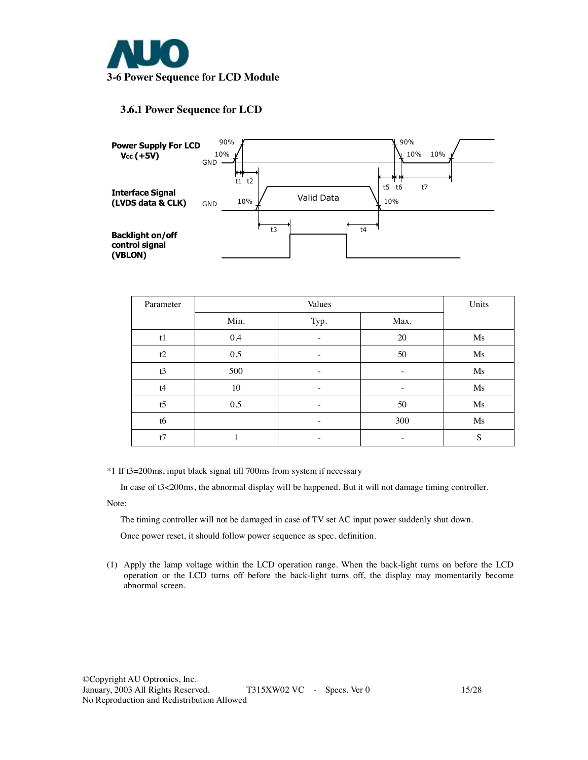

### **3.6.1 Power Sequence for LCD**



| Parameter      |      |                   | Units             |    |  |  |  |  |
|----------------|------|-------------------|-------------------|----|--|--|--|--|
|                | Min. | Typ.              |                   |    |  |  |  |  |
| t1             | 0.4  |                   | 20                |    |  |  |  |  |
| t2             | 0.5  | 50                | Ms                |    |  |  |  |  |
| t3             | 500  |                   | $\qquad \qquad -$ | Ms |  |  |  |  |
| t4             | 10   | -                 | -                 | Ms |  |  |  |  |
| t <sub>5</sub> | 0.5  | -                 | 50                | Ms |  |  |  |  |
| t6             |      | $\qquad \qquad -$ | 300               | Ms |  |  |  |  |
| t7             |      |                   |                   | S  |  |  |  |  |

\*1 If t3=200ms, input black signal till 700ms from system if necessary

In case of t3<200ms, the abnormal display will be happened. But it will not damage timing controller.

Note:

The timing controller will not be damaged in case of TV set AC input power suddenly shut down.

Once power reset, it should follow power sequence as spec. definition.

(1) Apply the lamp voltage within the LCD operation range. When the back-light turns on before the LCD operation or the LCD turns off before the back-light turns off, the display may momentarily become abnormal screen.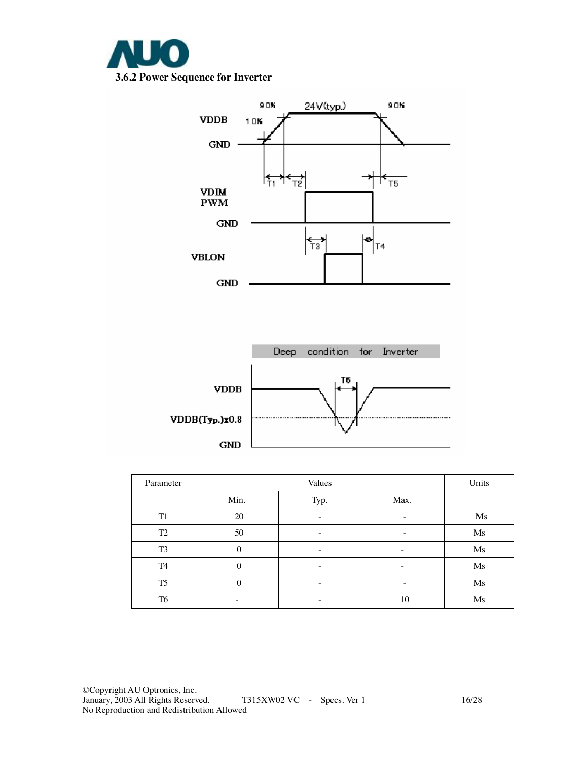



| Parameter      | Values   |      |                          | Units |
|----------------|----------|------|--------------------------|-------|
|                | Min.     | Typ. | Max.                     |       |
| T <sub>1</sub> | 20       |      | -                        | Ms    |
| T <sub>2</sub> | 50       |      | -                        | Ms    |
| T <sub>3</sub> | $\Omega$ | -    | -                        | Ms    |
| T <sub>4</sub> | $\theta$ | -    | -                        | Ms    |
| T <sub>5</sub> | $\theta$ | -    | $\overline{\phantom{a}}$ | Ms    |
| T <sub>6</sub> |          |      | 10                       | Ms    |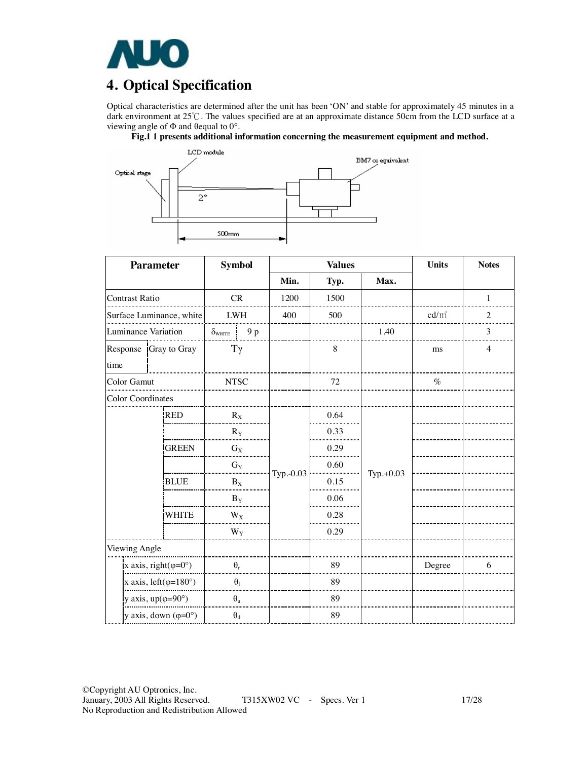

# **4. Optical Specification**

Optical characteristics are determined after the unit has been 'ON' and stable for approximately 45 minutes in a dark environment at 25℃. The values specified are at an approximate distance 50cm from the LCD surface at a viewing angle of  $\Phi$  and  $\theta$ equal to  $0^\circ$ .

**Fig.1 1 presents additional information concerning the measurement equipment and method.** 



| <b>Parameter</b>                       |                       | <b>Symbol</b>                  | <b>Values</b> |      | <b>Units</b> | <b>Notes</b> |                |
|----------------------------------------|-----------------------|--------------------------------|---------------|------|--------------|--------------|----------------|
|                                        |                       |                                | Min.          | Typ. | Max.         |              |                |
| <b>Contrast Ratio</b>                  |                       | CR                             | 1200          | 1500 |              |              | $\mathbf{1}$   |
| Surface Luminance, white               |                       | ${\rm LWH}$                    | 400           | 500  |              | $cd/m^2$     | $\overline{2}$ |
| Luminance Variation                    |                       | 9 p<br>$\delta_{\text{WHITE}}$ |               |      | 1.40         |              | 3              |
| time                                   | Response Gray to Gray | $T\gamma$                      |               | 8    |              | ms           | $\overline{4}$ |
| Color Gamut                            |                       | <b>NTSC</b>                    |               | 72   |              | $\%$         |                |
| <b>Color Coordinates</b>               |                       |                                |               |      |              |              |                |
|                                        | <b>RED</b>            | $R_X$                          |               | 0.64 |              |              |                |
|                                        |                       | $R_{\rm Y}$                    |               | 0.33 |              |              |                |
|                                        | <b>GREEN</b>          | $G_X$                          |               | 0.29 |              |              |                |
|                                        |                       | $G_Y$                          |               | 0.60 |              |              |                |
|                                        | <b>BLUE</b>           | $B_X$                          | Typ.-0.03     | 0.15 | Typ.+0.03    |              |                |
|                                        |                       | $B_Y$                          |               | 0.06 |              |              |                |
|                                        | WHITE                 | $W_X$                          |               | 0.28 |              |              |                |
|                                        |                       | $W_Y$                          |               | 0.29 |              |              |                |
| Viewing Angle                          |                       |                                |               |      |              |              |                |
| x axis, right( $\varphi = 0^{\circ}$ ) |                       | $\theta_r$                     |               | 89   |              | Degree       | 6              |
| x axis, left $(\varphi=180^\circ)$     |                       | $\theta_1$                     |               | 89   |              |              |                |
| y axis, $up(\varphi=90^\circ)$         |                       | $\theta_{\rm u}$               |               | 89   |              |              |                |
| y axis, down $(\varphi = 0^{\circ})$   |                       | $\boldsymbol{\theta}_d$        |               | 89   |              |              |                |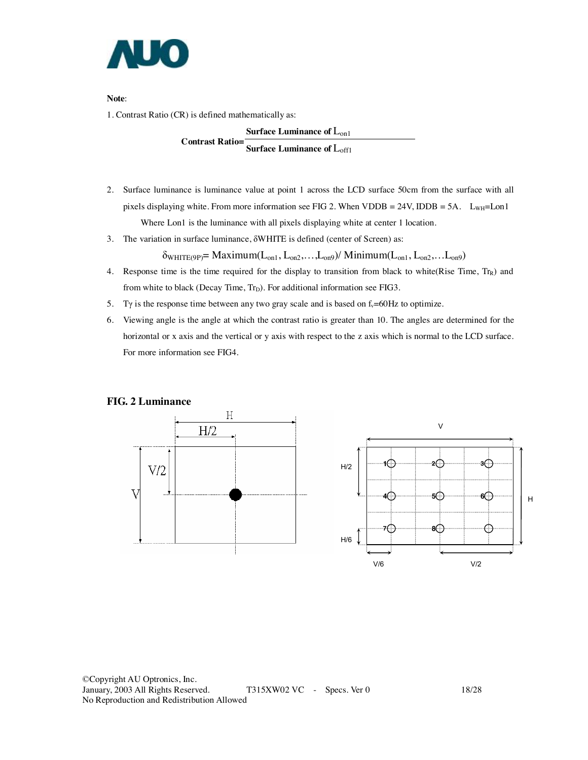

**Note**:

1. Contrast Ratio (CR) is defined mathematically as:

**Surface Luminance of** Lon1

**Contrast Ratio= Surface Luminance of** Loff1

- 2. Surface luminance is luminance value at point 1 across the LCD surface 50cm from the surface with all pixels displaying white. From more information see FIG 2. When VDDB =  $24V$ , IDDB =  $5A$ . L<sub>WH</sub>=Lon1 Where Lon1 is the luminance with all pixels displaying white at center 1 location.
- 3. The variation in surface luminance, δWHITE is defined (center of Screen) as:

 $\delta_{WHITE(9P)} = \text{Maximum}(L_{on1}, L_{on2}, \ldots, L_{on9}) / \text{Minimum}(L_{on1}, L_{on2}, \ldots, L_{on9})$ 

- 4. Response time is the time required for the display to transition from black to white(Rise Time,  $T_{\text{R}}$ ) and from white to black (Decay Time,  $Tr_D$ ). For additional information see FIG3.
- 5. Ty is the response time between any two gray scale and is based on  $f_v=60Hz$  to optimize.
- 6. Viewing angle is the angle at which the contrast ratio is greater than 10. The angles are determined for the horizontal or x axis and the vertical or y axis with respect to the z axis which is normal to the LCD surface. For more information see FIG4.

#### **FIG. 2 Luminance**

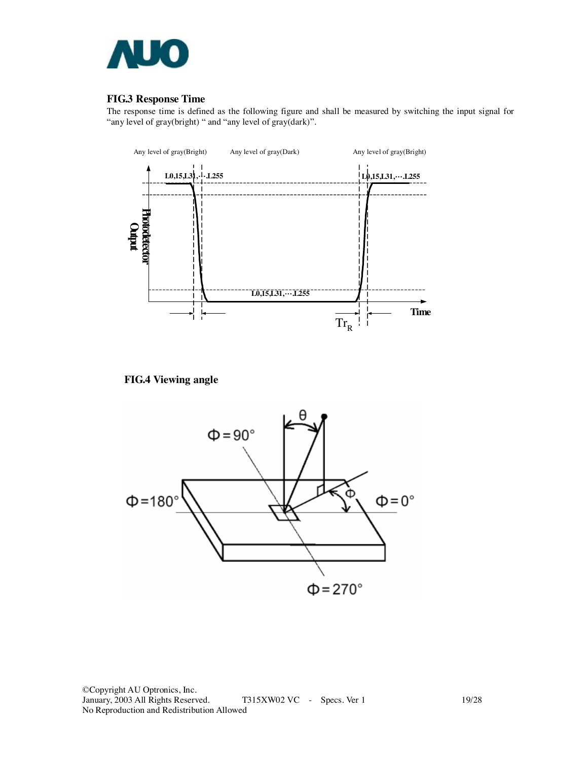

### **FIG.3 Response Time**

The response time is defined as the following figure and shall be measured by switching the input signal for "any level of gray(bright) " and "any level of gray(dark)".



**FIG.4 Viewing angle** 



©Copyright AU Optronics, Inc. January, 2003 All Rights Reserved. T315XW02 VC - Specs. Ver 1 19/28 No Reproduction and Redistribution Allowed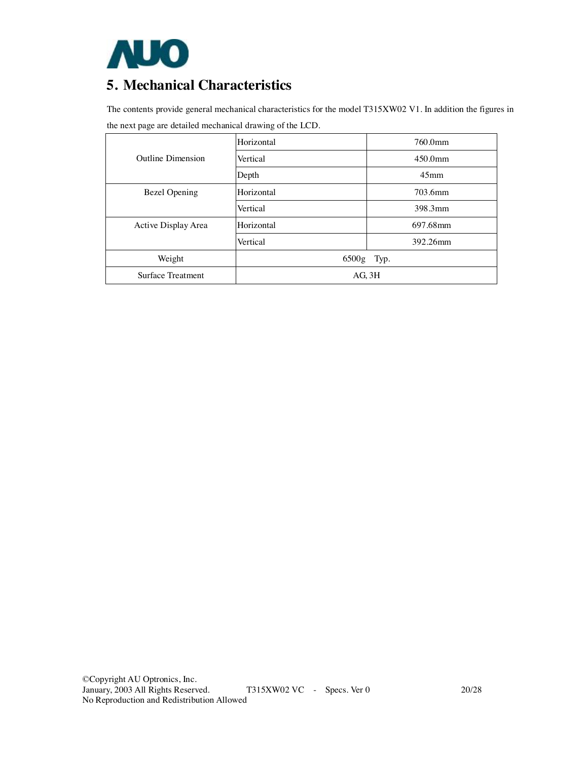

# **5. Mechanical Characteristics**

The contents provide general mechanical characteristics for the model T315XW02 V1. In addition the figures in the next page are detailed mechanical drawing of the LCD.

|                          | Horizontal  | 760.0mm          |  |
|--------------------------|-------------|------------------|--|
| <b>Outline Dimension</b> | Vertical    | $450.0$ mm       |  |
|                          | Depth       | 45 <sub>mm</sub> |  |
| Bezel Opening            | Horizontal  | 703.6mm          |  |
|                          | Vertical    | 398.3mm          |  |
| Active Display Area      | Horizontal  | 697.68mm         |  |
|                          | Vertical    | 392.26mm         |  |
| Weight                   | 6500g Typ.  |                  |  |
| Surface Treatment        | $AG$ , $3H$ |                  |  |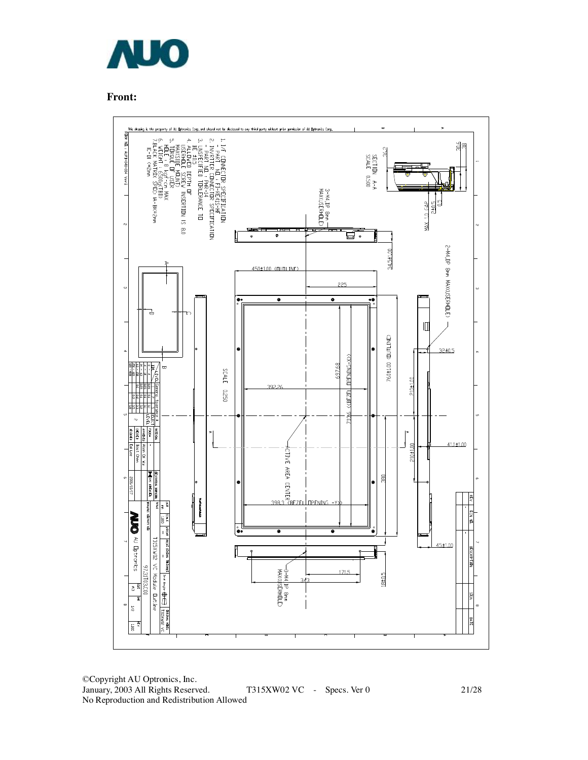

**Front:**



©Copyright AU Optronics, Inc. January, 2003 All Rights Reserved. T315XW02 VC - Specs. Ver 0 21/28 No Reproduction and Redistribution Allowed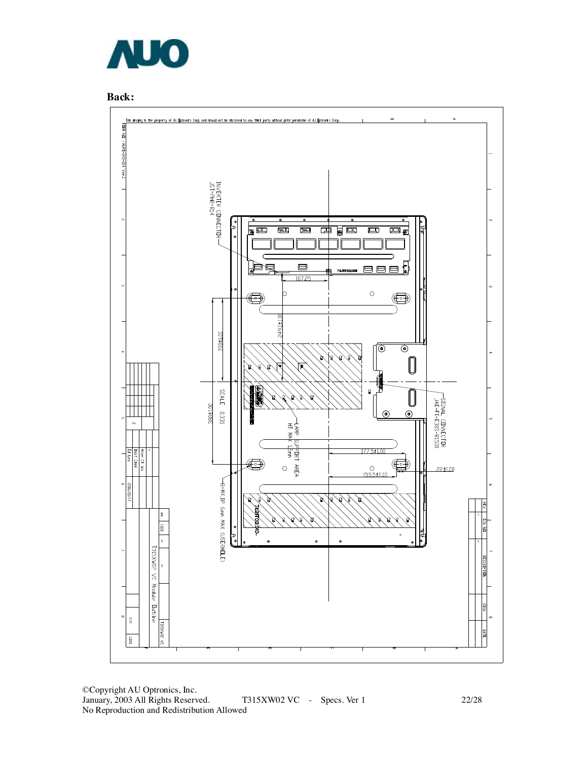



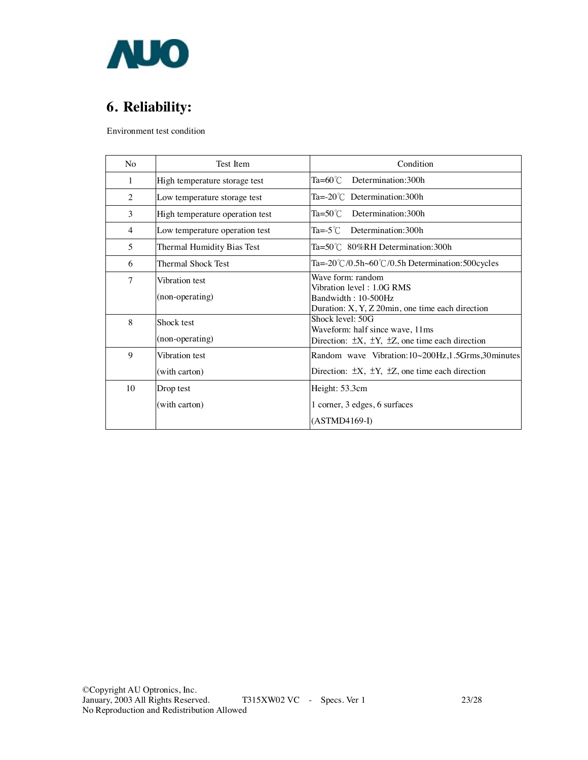

# **6. Reliability:**

Environment test condition

| No | Test Item                         | Condition                                                                                                                              |
|----|-----------------------------------|----------------------------------------------------------------------------------------------------------------------------------------|
| 1  | High temperature storage test     | $Ta=60^{\circ}$ Determination: 300h                                                                                                    |
| 2  | Low temperature storage test      | $Ta = -20^{\circ}$ Determination: 300h                                                                                                 |
| 3  | High temperature operation test   | $Ta = 50^{\circ}$ Determination: 300h                                                                                                  |
| 4  | Low temperature operation test    | $Ta = -5^{\circ}C$ Determination: 300h                                                                                                 |
| 5  | Thermal Humidity Bias Test        | $Ta = 50^{\circ}C$ 80%RH Determination: 300h                                                                                           |
| 6  | <b>Thermal Shock Test</b>         | Ta=-20°C/0.5h~60°C/0.5h Determination:500 cycles                                                                                       |
| 7  | Vibration test<br>(non-operating) | Wave form: random<br>Vibration level: 1.0G RMS<br>Bandwidth: 10-500Hz<br>Duration: $X, Y, Z$ 20 $\text{min}$ , one time each direction |
| 8  | Shock test<br>(non-operating)     | Shock level: 50G<br>Waveform: half since wave, 11ms<br>Direction: $\pm X$ , $\pm Y$ , $\pm Z$ , one time each direction                |
| 9  | Vibration test<br>(with carton)   | Random wave Vibration: 10~200Hz, 1.5Grms, 30minutes<br>Direction: $\pm X$ , $\pm Y$ , $\pm Z$ , one time each direction                |
| 10 | Drop test<br>(with carton)        | Height: 53.3cm<br>1 corner, 3 edges, 6 surfaces<br>$(ASTMD4169-I)$                                                                     |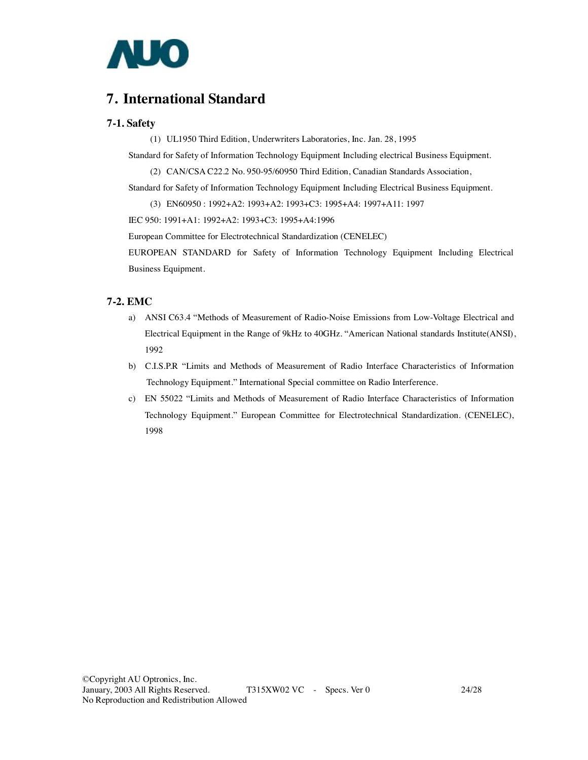

### **7. International Standard**

#### **7-1. Safety**

(1) UL1950 Third Edition, Underwriters Laboratories, Inc. Jan. 28, 1995

Standard for Safety of Information Technology Equipment Including electrical Business Equipment.

(2) CAN/CSA C22.2 No. 950-95/60950 Third Edition, Canadian Standards Association,

Standard for Safety of Information Technology Equipment Including Electrical Business Equipment.

(3) EN60950 : 1992+A2: 1993+A2: 1993+C3: 1995+A4: 1997+A11: 1997

IEC 950: 1991+A1: 1992+A2: 1993+C3: 1995+A4:1996

European Committee for Electrotechnical Standardization (CENELEC)

EUROPEAN STANDARD for Safety of Information Technology Equipment Including Electrical Business Equipment.

### **7-2. EMC**

- a) ANSI C63.4 "Methods of Measurement of Radio-Noise Emissions from Low-Voltage Electrical and Electrical Equipment in the Range of 9kHz to 40GHz. "American National standards Institute(ANSI), 1992
- b) C.I.S.P.R "Limits and Methods of Measurement of Radio Interface Characteristics of Information Technology Equipment." International Special committee on Radio Interference.
- c) EN 55022 "Limits and Methods of Measurement of Radio Interface Characteristics of Information Technology Equipment." European Committee for Electrotechnical Standardization. (CENELEC), 1998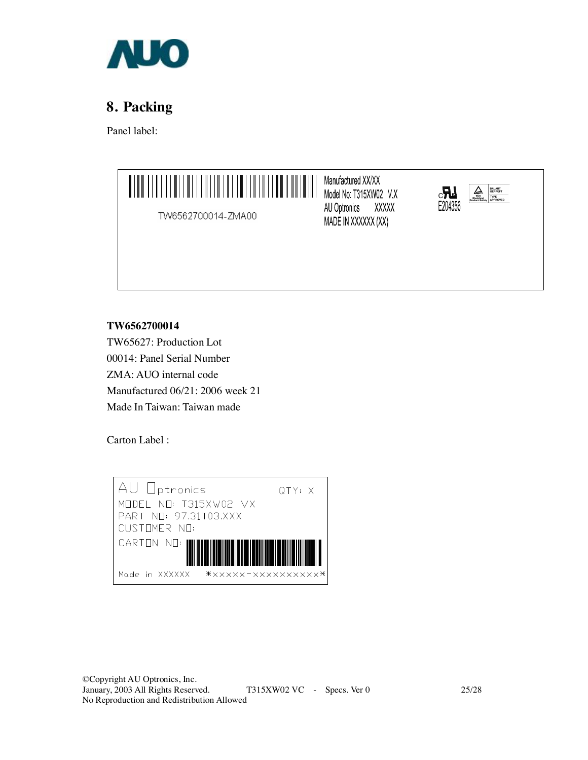

# **8. Packing**

Panel label:



AU Optronics XXXXX MADE IN XXXXXX (XX)



TW6562700014-ZMA00

**TW6562700014** 

TW65627: Production Lot 00014: Panel Serial Number ZMA: AUO internal code Manufactured 06/21: 2006 week 21 Made In Taiwan: Taiwan made

Carton Label :

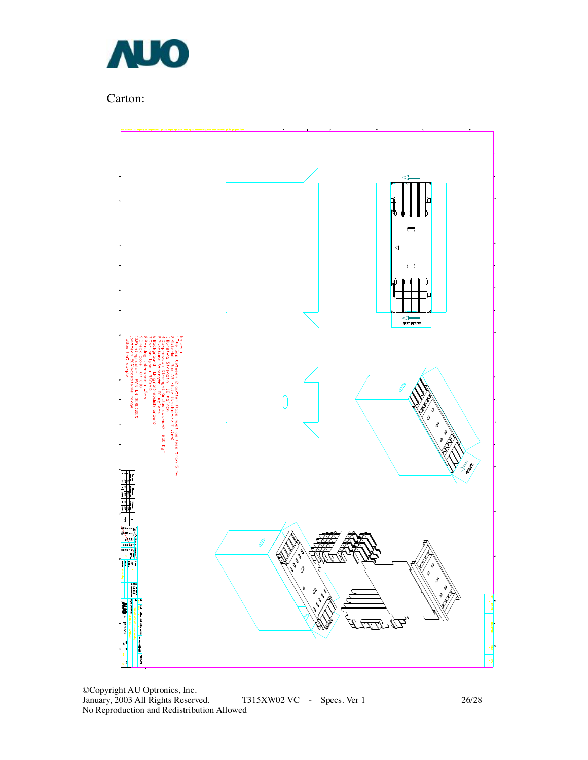

Carton:

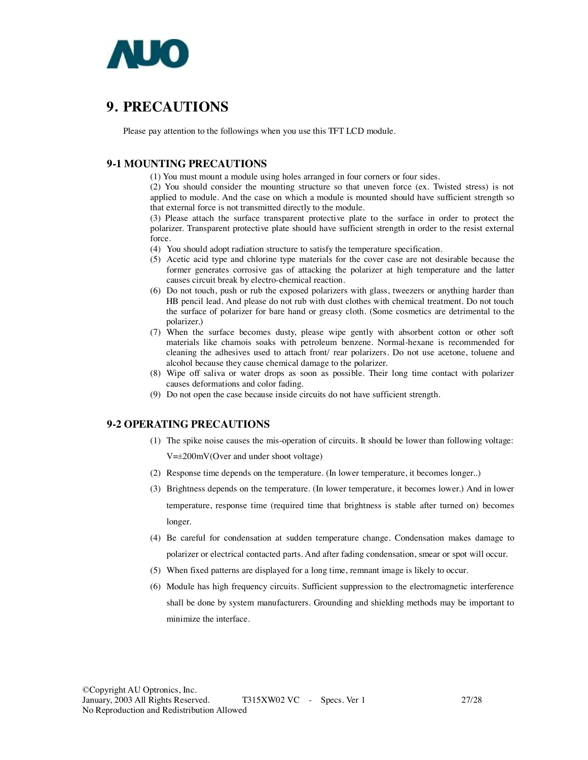

### **9. PRECAUTIONS**

Please pay attention to the followings when you use this TFT LCD module.

#### **9-1 MOUNTING PRECAUTIONS**

(1) You must mount a module using holes arranged in four corners or four sides.

(2) You should consider the mounting structure so that uneven force (ex. Twisted stress) is not applied to module. And the case on which a module is mounted should have sufficient strength so that external force is not transmitted directly to the module.

(3) Please attach the surface transparent protective plate to the surface in order to protect the polarizer. Transparent protective plate should have sufficient strength in order to the resist external force.

(4) You should adopt radiation structure to satisfy the temperature specification.

- (5) Acetic acid type and chlorine type materials for the cover case are not desirable because the former generates corrosive gas of attacking the polarizer at high temperature and the latter causes circuit break by electro-chemical reaction.
- (6) Do not touch, push or rub the exposed polarizers with glass, tweezers or anything harder than HB pencil lead. And please do not rub with dust clothes with chemical treatment. Do not touch the surface of polarizer for bare hand or greasy cloth. (Some cosmetics are detrimental to the polarizer.)
- (7) When the surface becomes dusty, please wipe gently with absorbent cotton or other soft materials like chamois soaks with petroleum benzene. Normal-hexane is recommended for cleaning the adhesives used to attach front/ rear polarizers. Do not use acetone, toluene and alcohol because they cause chemical damage to the polarizer.
- (8) Wipe off saliva or water drops as soon as possible. Their long time contact with polarizer causes deformations and color fading.
- (9) Do not open the case because inside circuits do not have sufficient strength.

### **9-2 OPERATING PRECAUTIONS**

(1) The spike noise causes the mis-operation of circuits. It should be lower than following voltage:

V=±200mV(Over and under shoot voltage)

- (2) Response time depends on the temperature. (In lower temperature, it becomes longer..)
- (3) Brightness depends on the temperature. (In lower temperature, it becomes lower.) And in lower temperature, response time (required time that brightness is stable after turned on) becomes longer.
- (4) Be careful for condensation at sudden temperature change. Condensation makes damage to polarizer or electrical contacted parts. And after fading condensation, smear or spot will occur.
- (5) When fixed patterns are displayed for a long time, remnant image is likely to occur.
- (6) Module has high frequency circuits. Sufficient suppression to the electromagnetic interference shall be done by system manufacturers. Grounding and shielding methods may be important to minimize the interface.